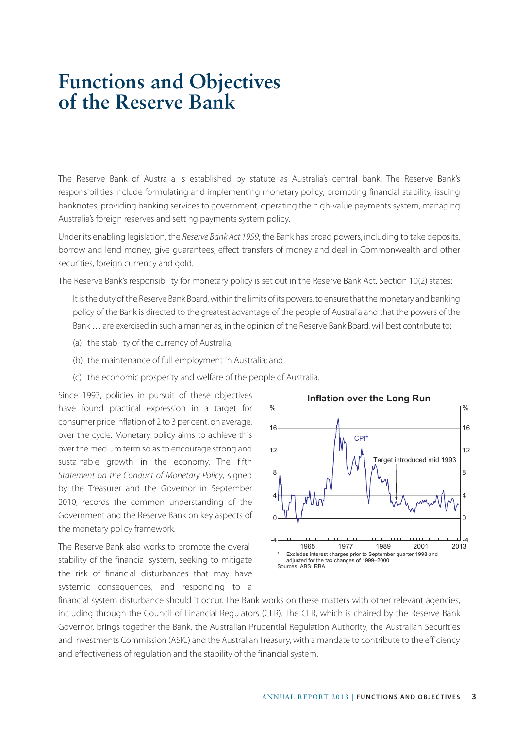## **Functions and Objectives of the Reserve Bank**

The Reserve Bank of Australia is established by statute as Australia's central bank. The Reserve Bank's responsibilities include formulating and implementing monetary policy, promoting financial stability, issuing banknotes, providing banking services to government, operating the high-value payments system, managing Australia's foreign reserves and setting payments system policy.

Under its enabling legislation, the *Reserve Bank Act 1959*, the Bank has broad powers, including to take deposits, borrow and lend money, give guarantees, effect transfers of money and deal in Commonwealth and other securities, foreign currency and gold.

The Reserve Bank's responsibility for monetary policy is set out in the Reserve Bank Act. Section 10(2) states:

It is the duty of the Reserve Bank Board, within the limits of its powers, to ensure that the monetary and banking policy of the Bank is directed to the greatest advantage of the people of Australia and that the powers of the Bank … are exercised in such a manner as, in the opinion of the Reserve Bank Board, will best contribute to:

- (a) the stability of the currency of Australia;
- (b) the maintenance of full employment in Australia; and
- (c) the economic prosperity and welfare of the people of Australia.

Since 1993, policies in pursuit of these objectives have found practical expression in a target for consumer price inflation of 2 to 3 per cent, on average, over the cycle. Monetary policy aims to achieve this over the medium term so as to encourage strong and sustainable growth in the economy. The fifth *Statement on the Conduct of Monetary Policy*, signed by the Treasurer and the Governor in September 2010, records the common understanding of the Government and the Reserve Bank on key aspects of the monetary policy framework.

The Reserve Bank also works to promote the overall stability of the financial system, seeking to mitigate the risk of financial disturbances that may have systemic consequences, and responding to a



financial system disturbance should it occur. The Bank works on these matters with other relevant agencies, including through the Council of Financial Regulators (CFR). The CFR, which is chaired by the Reserve Bank Governor, brings together the Bank, the Australian Prudential Regulation Authority, the Australian Securities and Investments Commission (ASIC) and the Australian Treasury, with a mandate to contribute to the efficiency and effectiveness of regulation and the stability of the financial system.